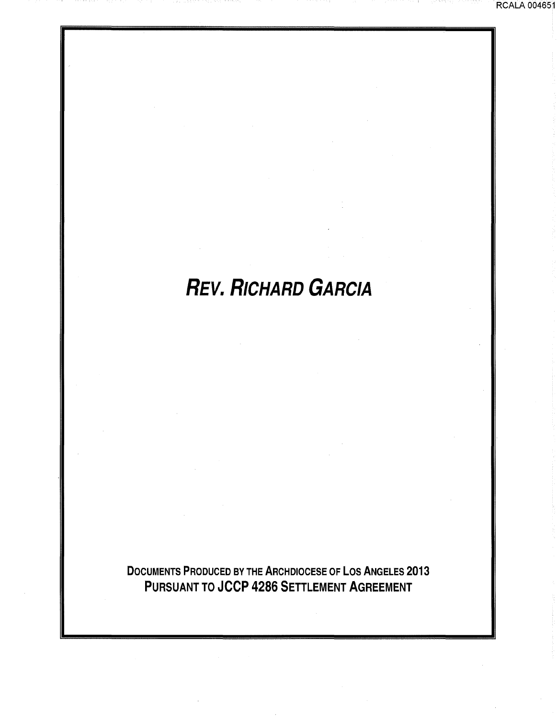# **REV. RICHARD GARCIA**

RCALA 004651

DOCUMENTS PRODUCED BY THE ARCHDIOCESE OF LOS ANGELES 2013 PURSUANT TO JCCP 4286 SETTLEMENT AGREEMENT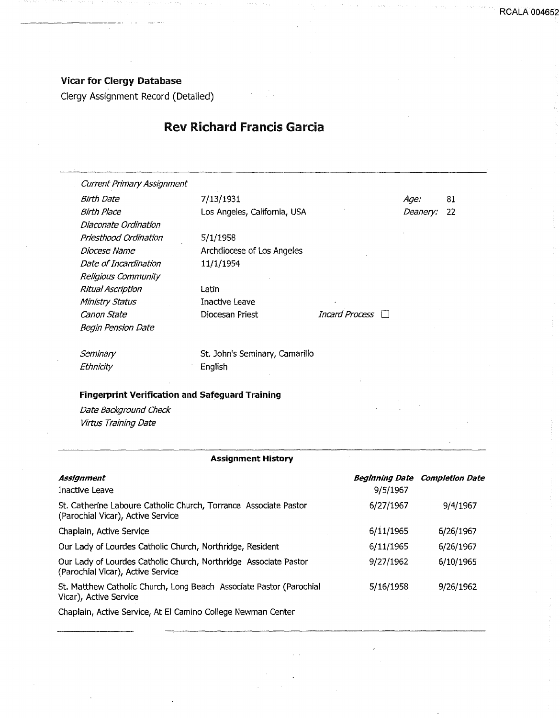## Vicar for Clergy Database

Clergy Assignment Record (Detailed)

## Rev Richard Francis Garcia

Current Primary Assignment Birth Date 7/13/1931 Diaconate Ordination Priesthood Ordination Diocese Name Date of Incardination Religious Community Ritual Ascription Ministry Status canon State Begin Pension Date

Birth Place **Los Angeles, California**, USA

5/1/1958 Archdiocese of Los Angeles 11/1/1954

Latin Inactive Leave

Diocesan Priest Incard Process

Age: 81 Deanery: 22

**Seminary Ethnicity** 

St. John's Seminary, Camarillo English

### Fingerprint Verification and Safeguard Training

Date Background Check Virtus Training Date

#### Assignment History

| <b>Assignment</b>                                                                                     |           | <b>Beginning Date Completion Date</b> |
|-------------------------------------------------------------------------------------------------------|-----------|---------------------------------------|
| Inactive Leave                                                                                        | 9/5/1967  |                                       |
| St. Catherine Laboure Catholic Church, Torrance Associate Pastor<br>(Parochial Vicar), Active Service | 6/27/1967 | 9/4/1967                              |
| Chaplain, Active Service                                                                              | 6/11/1965 | 6/26/1967                             |
| Our Lady of Lourdes Catholic Church, Northridge, Resident                                             | 6/11/1965 | 6/26/1967                             |
| Our Lady of Lourdes Catholic Church, Northridge Associate Pastor<br>(Parochial Vicar), Active Service | 9/27/1962 | 6/10/1965                             |
| St. Matthew Catholic Church, Long Beach Associate Pastor (Parochial<br>Vicar), Active Service         | 5/16/1958 | 9/26/1962                             |
| Chaplain, Active Consignate Life Camina College November                                              |           |                                       |

Chaplain, Active Service, At El Camino College Newman Center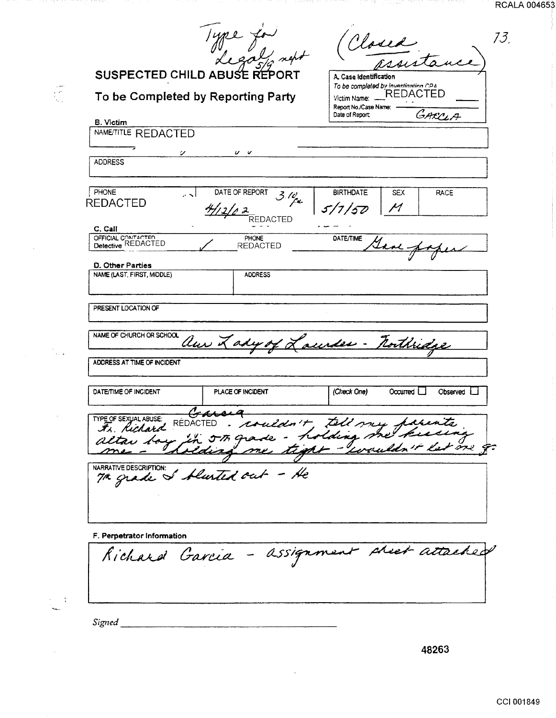| <b>RCALA 004653</b> |  |
|---------------------|--|
|                     |  |
|                     |  |

 $\frac{3}{\alpha}$ 

|                                                | you for<br>SUSPECTED CHILD ABUSE REPORT<br>To be Completed by Reporting Party                                                 | A. Case Identification<br>Victim Name:<br>Report No./Case Name: | Closed<br>To be completed by Investinating CPA<br><b>REDACTED</b> |
|------------------------------------------------|-------------------------------------------------------------------------------------------------------------------------------|-----------------------------------------------------------------|-------------------------------------------------------------------|
| <b>B.</b> Victim                               |                                                                                                                               | Date of Report                                                  | GARCIA                                                            |
| NAME/TITLE REDACTED                            |                                                                                                                               |                                                                 |                                                                   |
|                                                |                                                                                                                               |                                                                 |                                                                   |
| Ÿ.<br><b>ADDRESS</b>                           | v v                                                                                                                           |                                                                 |                                                                   |
|                                                |                                                                                                                               |                                                                 |                                                                   |
| PHONE                                          | DATE OF REPORT<br>ا د                                                                                                         | <b>BIRTHDATE</b>                                                | SEX<br>RACE                                                       |
| <b>REDACTED</b>                                | 3.10                                                                                                                          | 5/7/50                                                          | М                                                                 |
|                                                | RFDACTED                                                                                                                      |                                                                 |                                                                   |
| C. Call                                        |                                                                                                                               |                                                                 |                                                                   |
| OFFICIAL CONTACTED<br>Detective REDACTED       | PHONE<br><b>REDACTED</b>                                                                                                      | DATE/TIME                                                       |                                                                   |
|                                                |                                                                                                                               |                                                                 |                                                                   |
| D. Other Parties<br>NAME (LAST, FIRST, MIDDLE) | <b>ADDRESS</b>                                                                                                                |                                                                 |                                                                   |
|                                                |                                                                                                                               |                                                                 |                                                                   |
| PRESENT LOCATION OF                            |                                                                                                                               |                                                                 |                                                                   |
| NAME OF CHURCH OR SCHOOL                       |                                                                                                                               |                                                                 |                                                                   |
|                                                | au Lady of Laurder - Forthridge                                                                                               |                                                                 |                                                                   |
| ADDRESS AT TIME OF INCIDENT                    |                                                                                                                               |                                                                 |                                                                   |
| DATE/TIME OF INCIDENT                          | PLACE OF INCIDENT                                                                                                             | (Check One)                                                     | Observed L<br>Occurred L                                          |
|                                                |                                                                                                                               |                                                                 |                                                                   |
| TYPE OF SEXUAL ABUSE:                          | Craw                                                                                                                          |                                                                 |                                                                   |
|                                                |                                                                                                                               |                                                                 |                                                                   |
|                                                |                                                                                                                               |                                                                 |                                                                   |
|                                                | THE OF SEXUAL ABUSE: CALCURA<br>It hickard REDACTED . couldn't tell my farents<br>altau bay in 5th grade - holding me kiesing |                                                                 |                                                                   |
| NARRATIVE DESCRIPTION:                         |                                                                                                                               |                                                                 |                                                                   |
|                                                | The grade of blusted out - He                                                                                                 |                                                                 |                                                                   |
|                                                |                                                                                                                               |                                                                 |                                                                   |
|                                                |                                                                                                                               |                                                                 |                                                                   |
| F. Perpetrator Information                     |                                                                                                                               |                                                                 |                                                                   |

 $\ddot{\phantom{a}}$ 

ina pilo

n min

ama uniyon assa

Signed

 $\bar{\psi}$ 

 $\mathbf{r}$ 

48263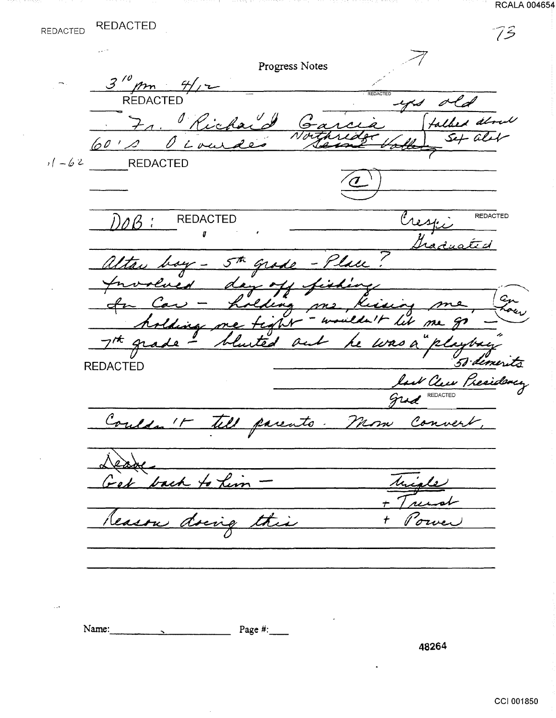REDACTED

 $73$  $\mathbb{Z}^2$ Progress Notes  $3'''$  $\frac{m}{\text{REDACIED}}$ Fr. Richard  $\frac{G}{N}$ urde 6010 020  $11 - 62$  REDACTED Cresp **REDACTED REDACTED**  $D\mathscr{O}\mathscr{B}$  : ľ Altar boy - 5th grade - Place den off fishe Involved ling me بغنغ lding me tight  $\overline{\mathcal{L}}$ lit me unsa" a imerità **REDACTED** and Clear President Couldn't tell parents. Mom Convert back to him Лı., Reason this t <u>evig</u>

Name: Page  $\#$ :  $\mathbf{r} = \mathbf{r} \times \mathbf{r}$ 

48264